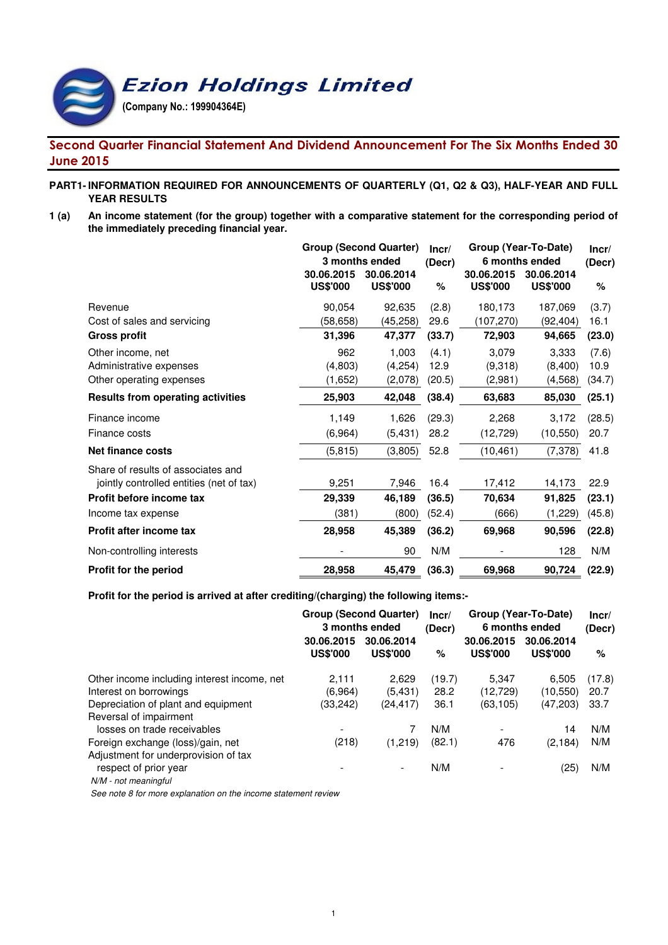**Ezion Holdings Limited** 

(Company No.: 199904364E)

# Second Quarter Financial Statement And Dividend Announcement For The Six Months Ended 30 June 2015

# **PART1- INFORMATION REQUIRED FOR ANNOUNCEMENTS OF QUARTERLY (Q1, Q2 & Q3), HALF-YEAR AND FULL YEAR RESULTS**

**1 (a) An income statement (for the group) together with a comparative statement for the corresponding period of the immediately preceding financial year.**

|                                          | <b>Group (Second Quarter)</b><br>3 months ended<br>30.06.2015<br>30.06.2014 |                 | Incr/<br>(Decr) | Group (Year-To-Date)<br>6 months ended<br>30.06.2015 | Incr/<br>(Decr)               |        |
|------------------------------------------|-----------------------------------------------------------------------------|-----------------|-----------------|------------------------------------------------------|-------------------------------|--------|
|                                          | <b>US\$'000</b>                                                             | <b>US\$'000</b> | %               | <b>US\$'000</b>                                      | 30.06.2014<br><b>US\$'000</b> | %      |
| Revenue                                  | 90,054                                                                      | 92,635          | (2.8)           | 180,173                                              | 187,069                       | (3.7)  |
| Cost of sales and servicing              | (58, 658)                                                                   | (45, 258)       | 29.6            | (107, 270)                                           | (92,404)                      | 16.1   |
| <b>Gross profit</b>                      | 31,396                                                                      | 47,377          | (33.7)          | 72,903                                               | 94,665                        | (23.0) |
| Other income, net                        | 962                                                                         | 1,003           | (4.1)           | 3,079                                                | 3,333                         | (7.6)  |
| Administrative expenses                  | (4,803)                                                                     | (4,254)         | 12.9            | (9,318)                                              | (8,400)                       | 10.9   |
| Other operating expenses                 | (1,652)                                                                     | (2,078)         | (20.5)          | (2,981)                                              | (4, 568)                      | (34.7) |
| <b>Results from operating activities</b> | 25,903                                                                      | 42,048          | (38.4)          | 63,683                                               | 85,030                        | (25.1) |
| Finance income                           | 1,149                                                                       | 1,626           | (29.3)          | 2,268                                                | 3,172                         | (28.5) |
| Finance costs                            | (6,964)                                                                     | (5, 431)        | 28.2            | (12, 729)                                            | (10, 550)                     | 20.7   |
| <b>Net finance costs</b>                 | (5, 815)                                                                    | (3,805)         | 52.8            | (10, 461)                                            | (7, 378)                      | 41.8   |
| Share of results of associates and       |                                                                             |                 |                 |                                                      |                               |        |
| jointly controlled entities (net of tax) | 9,251                                                                       | 7,946           | 16.4            | 17,412                                               | 14,173                        | 22.9   |
| Profit before income tax                 | 29,339                                                                      | 46,189          | (36.5)          | 70,634                                               | 91,825                        | (23.1) |
| Income tax expense                       | (381)                                                                       | (800)           | (52.4)          | (666)                                                | (1,229)                       | (45.8) |
| Profit after income tax                  | 28,958                                                                      | 45,389          | (36.2)          | 69,968                                               | 90,596                        | (22.8) |
| Non-controlling interests                |                                                                             | 90              | N/M             |                                                      | 128                           | N/M    |
| <b>Profit for the period</b>             | 28,958                                                                      | 45,479          | (36.3)          | 69,968                                               | 90,724                        | (22.9) |

### **Profit for the period is arrived at after crediting/(charging) the following items:-**

|                                             | <b>Group (Second Quarter)</b><br>3 months ended |                               | Incr/<br>(Decr) | Group (Year-To-Date)<br>6 months ended | Incr/<br>(Decr)               |        |
|---------------------------------------------|-------------------------------------------------|-------------------------------|-----------------|----------------------------------------|-------------------------------|--------|
|                                             | 30.06.2015<br><b>US\$'000</b>                   | 30.06.2014<br><b>US\$'000</b> | %               | 30.06.2015<br><b>US\$'000</b>          | 30.06.2014<br><b>US\$'000</b> | %      |
| Other income including interest income, net | 2.111                                           | 2.629                         | (19.7)          | 5.347                                  | 6.505                         | (17.8) |
| Interest on borrowings                      | (6.964)                                         | (5,431)                       | 28.2            | (12, 729)                              | (10, 550)                     | 20.7   |
| Depreciation of plant and equipment         | (33,242)                                        | (24,417)                      | 36.1            | (63, 105)                              | (47,203)                      | 33.7   |
| Reversal of impairment                      |                                                 |                               |                 |                                        |                               |        |
| losses on trade receivables                 |                                                 |                               | N/M             |                                        | 14                            | N/M    |
| Foreign exchange (loss)/gain, net           | (218)                                           | (1,219)                       | (82.1)          | 476                                    | (2, 184)                      | N/M    |
| Adjustment for underprovision of tax        |                                                 |                               |                 |                                        |                               |        |
| respect of prior year                       |                                                 | $\overline{\phantom{0}}$      | N/M             |                                        | (25)                          | N/M    |
| N/M - not meaningful                        |                                                 |                               |                 |                                        |                               |        |

See note 8 for more explanation on the income statement review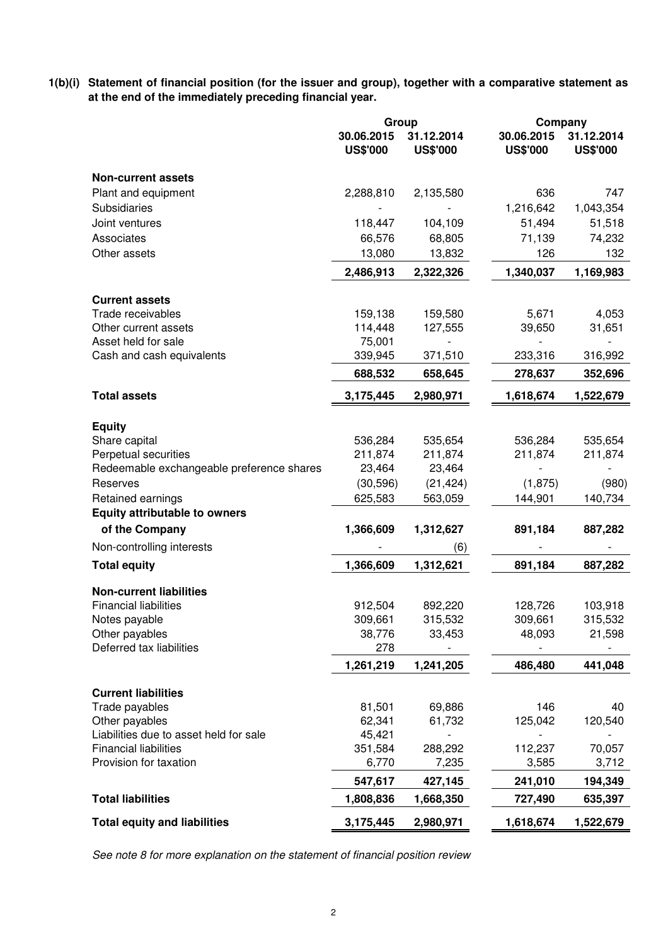**1(b)(i) Statement of financial position (for the issuer and group), together with a comparative statement as at the end of the immediately preceding financial year.**

|                                           |                               | Group                         | Company                       |                               |
|-------------------------------------------|-------------------------------|-------------------------------|-------------------------------|-------------------------------|
|                                           | 30.06.2015<br><b>US\$'000</b> | 31.12.2014<br><b>US\$'000</b> | 30.06.2015<br><b>US\$'000</b> | 31.12.2014<br><b>US\$'000</b> |
| <b>Non-current assets</b>                 |                               |                               |                               |                               |
| Plant and equipment                       | 2,288,810                     | 2,135,580                     | 636                           | 747                           |
| Subsidiaries                              |                               |                               | 1,216,642                     | 1,043,354                     |
| Joint ventures                            | 118,447                       | 104,109                       | 51,494                        | 51,518                        |
| Associates                                | 66,576                        | 68,805                        | 71,139                        | 74,232                        |
| Other assets                              | 13,080                        | 13,832                        | 126                           | 132                           |
|                                           | 2,486,913                     | 2,322,326                     | 1,340,037                     | 1,169,983                     |
| <b>Current assets</b>                     |                               |                               |                               |                               |
| Trade receivables                         | 159,138                       | 159,580                       | 5,671                         | 4,053                         |
| Other current assets                      | 114,448                       | 127,555                       | 39,650                        | 31,651                        |
| Asset held for sale                       | 75,001                        |                               |                               |                               |
| Cash and cash equivalents                 | 339,945                       | 371,510                       | 233,316                       | 316,992                       |
|                                           | 688,532                       | 658,645                       | 278,637                       | 352,696                       |
| <b>Total assets</b>                       | 3,175,445                     | 2,980,971                     | 1,618,674                     | 1,522,679                     |
|                                           |                               |                               |                               |                               |
| <b>Equity</b><br>Share capital            | 536,284                       | 535,654                       | 536,284                       | 535,654                       |
| Perpetual securities                      | 211,874                       | 211,874                       | 211,874                       | 211,874                       |
| Redeemable exchangeable preference shares | 23,464                        | 23,464                        |                               |                               |
| Reserves                                  | (30, 596)                     | (21, 424)                     | (1,875)                       | (980)                         |
| Retained earnings                         | 625,583                       | 563,059                       | 144,901                       | 140,734                       |
| <b>Equity attributable to owners</b>      |                               |                               |                               |                               |
| of the Company                            | 1,366,609                     | 1,312,627                     | 891,184                       | 887,282                       |
| Non-controlling interests                 |                               | (6)                           |                               |                               |
| <b>Total equity</b>                       | 1,366,609                     | 1,312,621                     | 891,184                       | 887,282                       |
| <b>Non-current liabilities</b>            |                               |                               |                               |                               |
| <b>Financial liabilities</b>              | 912,504                       | 892,220                       | 128,726                       | 103,918                       |
| Notes payable                             | 309,661                       | 315,532                       | 309,661                       | 315,532                       |
| Other payables                            | 38,776                        | 33,453                        | 48,093                        | 21,598                        |
| Deferred tax liabilities                  | 278                           |                               |                               |                               |
|                                           | 1,261,219                     | 1,241,205                     | 486,480                       | 441,048                       |
| <b>Current liabilities</b>                |                               |                               |                               |                               |
| Trade payables                            | 81,501                        | 69,886                        | 146                           | 40                            |
| Other payables                            | 62,341                        | 61,732                        | 125,042                       | 120,540                       |
| Liabilities due to asset held for sale    | 45,421                        |                               |                               |                               |
| <b>Financial liabilities</b>              | 351,584                       | 288,292                       | 112,237                       | 70,057                        |
| Provision for taxation                    | 6,770                         | 7,235                         | 3,585                         | 3,712                         |
|                                           | 547,617                       | 427,145                       | 241,010                       | 194,349                       |
| <b>Total liabilities</b>                  | 1,808,836                     | 1,668,350                     | 727,490                       | 635,397                       |
| <b>Total equity and liabilities</b>       | 3,175,445                     | 2,980,971                     | 1,618,674                     | 1,522,679                     |

See note 8 for more explanation on the statement of financial position review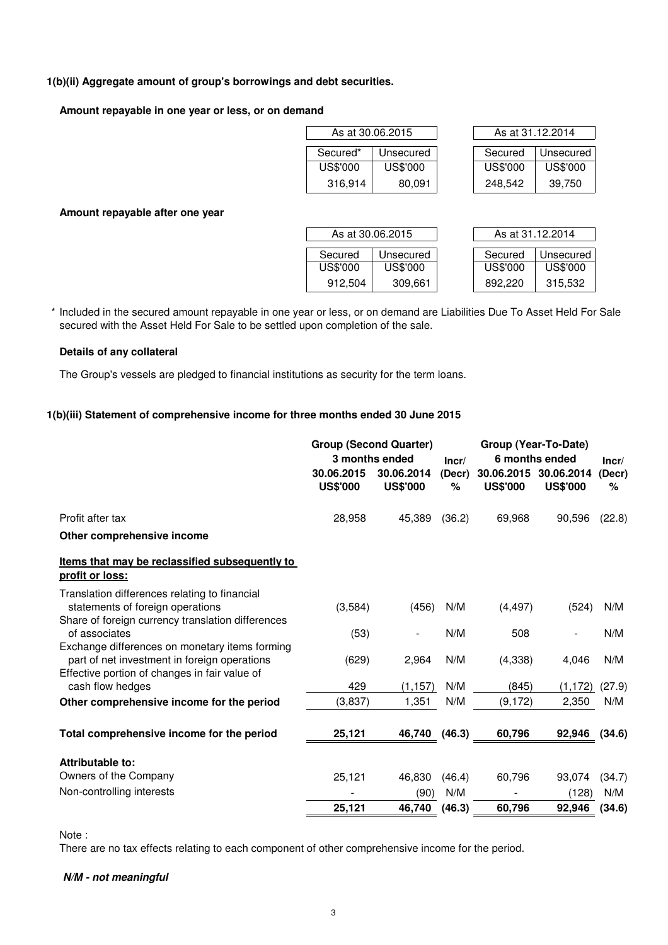# **1(b)(ii) Aggregate amount of group's borrowings and debt securities.**

# **Amount repayable in one year or less, or on demand**

|          | As at 30.06.2015 | As at 31.12.2014 |          |  |  |
|----------|------------------|------------------|----------|--|--|
| Secured* | Unsecured        | Secured          | Unsecure |  |  |
| US\$'000 | US\$'000         | US\$'000         | US\$'000 |  |  |
| 316,914  | 80,091           | 248,542          | 39.750   |  |  |

|          | As at 30.06.2015 | As at 31.12.2014 |           |  |  |
|----------|------------------|------------------|-----------|--|--|
| Secured* | Unsecured        | Secured          | Unsecured |  |  |
| US\$'000 | US\$'000         | US\$'000         | US\$'000  |  |  |
| 316,914  | 80,091           | 248,542          | 39,750    |  |  |

**Amount repayable after one year**

|          | As at 30.06.2015 | As at 31.12.2014 |           |
|----------|------------------|------------------|-----------|
| Secured  | Unsecured        | Secured          | Unsecured |
| US\$'000 | US\$'000         | US\$'000         | US\$'000  |
| 912,504  | 309,661          | 892.220          | 315,532   |

| As at 31.12.2014 |           |  |  |  |  |  |
|------------------|-----------|--|--|--|--|--|
|                  |           |  |  |  |  |  |
| Secured          | Unsecured |  |  |  |  |  |
| US\$'000         | US\$'000  |  |  |  |  |  |
| 892 220          | 315.532   |  |  |  |  |  |

\* Included in the secured amount repayable in one year or less, or on demand are Liabilities Due To Asset Held For Sale secured with the Asset Held For Sale to be settled upon completion of the sale.

# **Details of any collateral**

The Group's vessels are pledged to financial institutions as security for the term loans.

# **1(b)(iii) Statement of comprehensive income for three months ended 30 June 2015**

|                                                                                                                                                 |                               | <b>Group (Second Quarter)</b><br>3 months ended | Group (Year-To-Date)<br>6 months ended<br>Incr/ |                               |                               | Incr/       |
|-------------------------------------------------------------------------------------------------------------------------------------------------|-------------------------------|-------------------------------------------------|-------------------------------------------------|-------------------------------|-------------------------------|-------------|
|                                                                                                                                                 | 30.06.2015<br><b>US\$'000</b> | 30.06.2014<br><b>US\$'000</b>                   | (Decr)<br>%                                     | 30.06.2015<br><b>US\$'000</b> | 30.06.2014<br><b>US\$'000</b> | (Decr)<br>℅ |
| Profit after tax                                                                                                                                | 28,958                        | 45,389                                          | (36.2)                                          | 69,968                        | 90,596                        | (22.8)      |
| Other comprehensive income                                                                                                                      |                               |                                                 |                                                 |                               |                               |             |
| Items that may be reclassified subsequently to<br>profit or loss:                                                                               |                               |                                                 |                                                 |                               |                               |             |
| Translation differences relating to financial<br>statements of foreign operations                                                               | (3,584)                       | (456)                                           | N/M                                             | (4, 497)                      | (524)                         | N/M         |
| Share of foreign currency translation differences<br>of associates                                                                              | (53)                          |                                                 | N/M                                             | 508                           | $\overline{\phantom{a}}$      | N/M         |
| Exchange differences on monetary items forming<br>part of net investment in foreign operations<br>Effective portion of changes in fair value of | (629)                         | 2,964                                           | N/M                                             | (4,338)                       | 4,046                         | N/M         |
| cash flow hedges                                                                                                                                | 429                           | (1, 157)                                        | N/M                                             | (845)                         | (1, 172)                      | (27.9)      |
| Other comprehensive income for the period                                                                                                       | (3,837)                       | 1,351                                           | N/M                                             | (9, 172)                      | 2,350                         | N/M         |
| Total comprehensive income for the period                                                                                                       | 25,121                        | 46,740                                          | (46.3)                                          | 60,796                        | 92,946                        | (34.6)      |
| Attributable to:                                                                                                                                |                               |                                                 |                                                 |                               |                               |             |
| Owners of the Company                                                                                                                           | 25,121                        | 46,830                                          | (46.4)                                          | 60,796                        | 93,074                        | (34.7)      |
| Non-controlling interests                                                                                                                       |                               | (90)                                            | N/M                                             |                               | (128)                         | N/M         |
|                                                                                                                                                 | 25,121                        | 46,740                                          | (46.3)                                          | 60,796                        | 92,946                        | (34.6)      |

Note :

There are no tax effects relating to each component of other comprehensive income for the period.

# **N/M - not meaningful**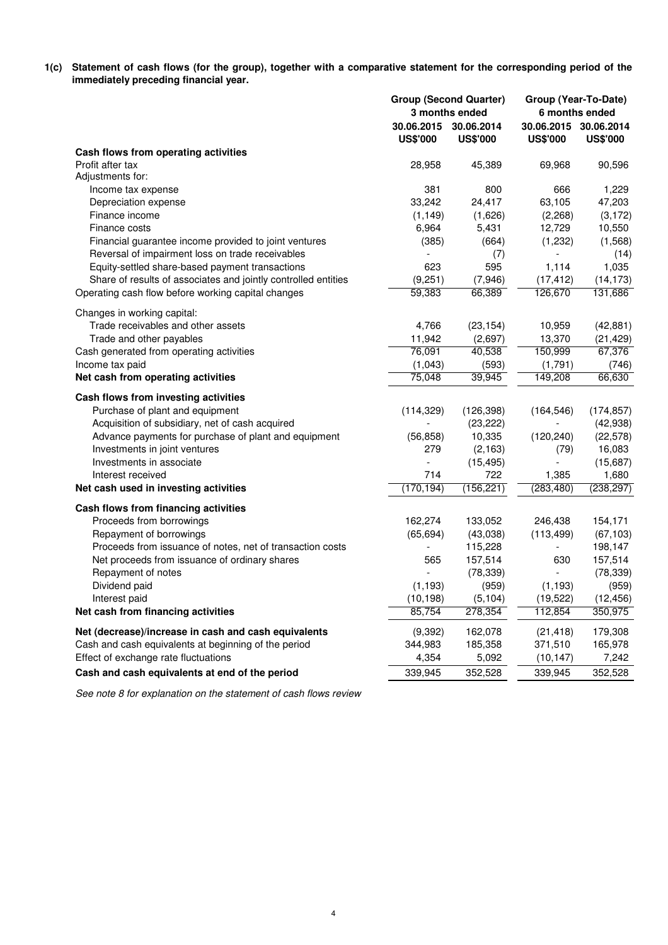**1(c) Statement of cash flows (for the group), together with a comparative statement for the corresponding period of the immediately preceding financial year.**

|                                                                |                                          | <b>Group (Second Quarter)</b><br>3 months ended |                                          | Group (Year-To-Date)<br>6 months ended |
|----------------------------------------------------------------|------------------------------------------|-------------------------------------------------|------------------------------------------|----------------------------------------|
|                                                                | 30.06.2015 30.06.2014<br><b>US\$'000</b> | <b>US\$'000</b>                                 | 30.06.2015 30.06.2014<br><b>US\$'000</b> | <b>US\$'000</b>                        |
| Cash flows from operating activities                           |                                          |                                                 |                                          |                                        |
| Profit after tax                                               | 28,958                                   | 45,389                                          | 69,968                                   | 90,596                                 |
| Adjustments for:                                               |                                          |                                                 |                                          |                                        |
| Income tax expense                                             | 381                                      | 800                                             | 666                                      | 1,229                                  |
| Depreciation expense                                           | 33,242                                   | 24,417                                          | 63,105                                   | 47,203                                 |
| Finance income                                                 | (1, 149)                                 | (1,626)                                         | (2,268)                                  | (3, 172)                               |
| Finance costs                                                  | 6,964                                    | 5,431                                           | 12,729                                   | 10,550                                 |
| Financial guarantee income provided to joint ventures          | (385)                                    | (664)                                           | (1,232)                                  | (1, 568)                               |
| Reversal of impairment loss on trade receivables               |                                          | (7)                                             |                                          | (14)                                   |
| Equity-settled share-based payment transactions                | 623                                      | 595                                             | 1,114                                    | 1,035                                  |
| Share of results of associates and jointly controlled entities | (9,251)                                  | (7,946)                                         | (17, 412)                                | (14, 173)                              |
| Operating cash flow before working capital changes             | 59,383                                   | 66,389                                          | 126,670                                  | 131,686                                |
| Changes in working capital:                                    |                                          |                                                 |                                          |                                        |
| Trade receivables and other assets<br>Trade and other payables | 4,766<br>11,942                          | (23, 154)<br>(2,697)                            | 10,959<br>13,370                         | (42, 881)                              |
| Cash generated from operating activities                       | 76,091                                   | 40,538                                          | 150,999                                  | (21, 429)<br>67,376                    |
| Income tax paid                                                | (1,043)                                  | (593)                                           | (1,791)                                  |                                        |
| Net cash from operating activities                             | 75,048                                   | 39,945                                          | 149,208                                  | (746)<br>66,630                        |
|                                                                |                                          |                                                 |                                          |                                        |
| Cash flows from investing activities                           |                                          |                                                 |                                          |                                        |
| Purchase of plant and equipment                                | (114, 329)                               | (126, 398)                                      | (164, 546)                               | (174, 857)                             |
| Acquisition of subsidiary, net of cash acquired                |                                          | (23, 222)                                       |                                          | (42, 938)                              |
| Advance payments for purchase of plant and equipment           | (56, 858)                                | 10,335                                          | (120, 240)                               | (22, 578)                              |
| Investments in joint ventures                                  | 279                                      | (2, 163)                                        | (79)                                     | 16,083                                 |
| Investments in associate                                       |                                          | (15, 495)                                       |                                          | (15,687)                               |
| Interest received                                              | 714                                      | 722                                             | 1,385                                    | 1,680                                  |
| Net cash used in investing activities                          | (170, 194)                               | (156, 221)                                      | (283, 480)                               | (238, 297)                             |
| Cash flows from financing activities                           |                                          |                                                 |                                          |                                        |
| Proceeds from borrowings                                       | 162,274                                  | 133,052                                         | 246,438                                  | 154,171                                |
| Repayment of borrowings                                        | (65, 694)                                | (43,038)                                        | (113, 499)                               | (67, 103)                              |
| Proceeds from issuance of notes, net of transaction costs      |                                          | 115,228                                         | $\overline{\phantom{a}}$                 | 198,147                                |
| Net proceeds from issuance of ordinary shares                  | 565                                      | 157,514                                         | 630                                      | 157,514                                |
| Repayment of notes                                             |                                          | (78, 339)                                       |                                          | (78, 339)                              |
| Dividend paid                                                  | (1, 193)                                 | (959)                                           | (1, 193)                                 | (959)                                  |
| Interest paid                                                  | (10, 198)                                | (5, 104)                                        | (19, 522)                                | (12, 456)                              |
| Net cash from financing activities                             | 85,754                                   | 278,354                                         | 112,854                                  | 350,975                                |
| Net (decrease)/increase in cash and cash equivalents           | (9,392)                                  | 162,078                                         | (21, 418)                                | 179,308                                |
| Cash and cash equivalents at beginning of the period           | 344,983                                  | 185,358                                         | 371,510                                  | 165,978                                |
| Effect of exchange rate fluctuations                           | 4,354                                    | 5,092                                           | (10, 147)                                | 7,242                                  |
| Cash and cash equivalents at end of the period                 | 339,945                                  | 352,528                                         | 339,945                                  | 352,528                                |

See note 8 for explanation on the statement of cash flows review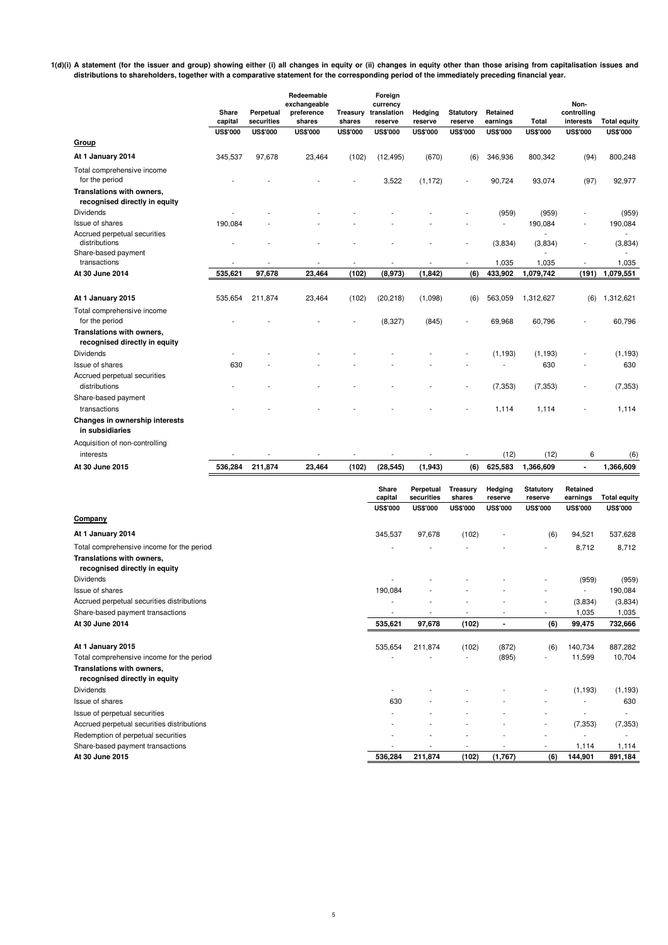**1(d)(i) A statement (for the issuer and group) showing either (i) all changes in equity or (ii) changes in equity other than those arising from capitalisation issues and distributions to shareholders, together with a comparative statement for the corresponding period of the immediately preceding financial year.**

|                                                                                                         | Share<br>capital | Perpetual<br>securities | Redeemable<br>exchangeable<br>preference<br>shares | Treasury<br>shares | Foreign<br>currency<br>translation<br>reserve | Hedging<br>reserve                         | <b>Statutory</b><br>reserve           | Retained<br>earnings                  | Total                                          | Non-<br>controlling<br>interests        | <b>Total equity</b>                    |
|---------------------------------------------------------------------------------------------------------|------------------|-------------------------|----------------------------------------------------|--------------------|-----------------------------------------------|--------------------------------------------|---------------------------------------|---------------------------------------|------------------------------------------------|-----------------------------------------|----------------------------------------|
| <b>Group</b>                                                                                            | <b>US\$'000</b>  | <b>US\$'000</b>         | <b>US\$'000</b>                                    | <b>US\$'000</b>    | <b>US\$'000</b>                               | <b>US\$'000</b>                            | <b>US\$'000</b>                       | <b>US\$'000</b>                       | <b>US\$'000</b>                                | <b>US\$'000</b>                         | <b>US\$'000</b>                        |
| At 1 January 2014                                                                                       | 345,537          | 97,678                  | 23,464                                             | (102)              | (12, 495)                                     | (670)                                      | (6)                                   | 346,936                               | 800,342                                        | (94)                                    | 800,248                                |
| Total comprehensive income<br>for the period                                                            |                  |                         |                                                    |                    | 3,522                                         | (1, 172)                                   | $\overline{a}$                        | 90,724                                | 93,074                                         | (97)                                    | 92,977                                 |
| Translations with owners,<br>recognised directly in equity<br><b>Dividends</b>                          |                  |                         |                                                    |                    |                                               |                                            |                                       | (959)                                 | (959)                                          |                                         | (959)                                  |
| Issue of shares                                                                                         | 190,084          |                         |                                                    |                    |                                               |                                            |                                       | $\overline{\phantom{a}}$              | 190,084                                        | $\overline{\phantom{a}}$                | 190,084                                |
| Accrued perpetual securities<br>distributions<br>Share-based payment                                    |                  |                         |                                                    |                    |                                               |                                            | L,                                    | (3,834)                               | (3,834)                                        | $\overline{\phantom{a}}$                | (3,834)                                |
| transactions                                                                                            |                  |                         |                                                    |                    | $\overline{a}$                                |                                            | $\overline{\phantom{a}}$              | 1,035                                 | 1,035                                          | $\overline{\phantom{a}}$                | 1,035                                  |
| At 30 June 2014                                                                                         | 535,621          | 97,678                  | 23,464                                             | (102)              | (8,973)                                       | (1, 842)                                   | (6)                                   | 433,902                               | 1,079,742                                      | (191)                                   | 1,079,551                              |
| At 1 January 2015                                                                                       | 535,654          | 211,874                 | 23,464                                             | (102)              | (20, 218)                                     | (1,098)                                    | (6)                                   | 563,059                               | 1,312,627                                      | (6)                                     | 1,312,621                              |
| Total comprehensive income<br>for the period                                                            |                  |                         |                                                    |                    | (8,327)                                       | (845)                                      |                                       | 69,968                                | 60,796                                         |                                         | 60,796                                 |
| Translations with owners,<br>recognised directly in equity                                              |                  |                         |                                                    |                    |                                               |                                            |                                       |                                       |                                                |                                         |                                        |
| Dividends                                                                                               |                  |                         |                                                    |                    |                                               |                                            |                                       | (1, 193)<br>÷.                        | (1, 193)                                       |                                         | (1, 193)                               |
| Issue of shares<br>Accrued perpetual securities                                                         | 630              |                         |                                                    |                    |                                               |                                            |                                       |                                       | 630                                            |                                         | 630                                    |
| distributions                                                                                           |                  |                         |                                                    |                    |                                               |                                            | $\frac{1}{2}$                         | (7, 353)                              | (7, 353)                                       |                                         | (7, 353)                               |
| Share-based payment<br>transactions                                                                     |                  |                         |                                                    |                    |                                               |                                            |                                       | 1,114                                 | 1,114                                          |                                         | 1,114                                  |
| Changes in ownership interests<br>in subsidiaries                                                       |                  |                         |                                                    |                    |                                               |                                            |                                       |                                       |                                                |                                         |                                        |
| Acquisition of non-controlling                                                                          |                  |                         |                                                    |                    |                                               |                                            |                                       |                                       |                                                |                                         |                                        |
| interests<br>At 30 June 2015                                                                            | 536,284          | 211,874                 | 23,464                                             | (102)              |                                               | (1, 943)                                   | $\overline{a}$<br>(6)                 | (12)<br>625,583                       | (12)<br>1,366,609                              | 6                                       | (6)<br>1,366,609                       |
|                                                                                                         |                  |                         |                                                    |                    | (28, 545)                                     |                                            |                                       |                                       |                                                |                                         |                                        |
|                                                                                                         |                  |                         |                                                    |                    | Share<br>capital<br><b>US\$'000</b>           | Perpetual<br>securities<br><b>US\$'000</b> | Treasury<br>shares<br><b>US\$'000</b> | Hedging<br>reserve<br><b>US\$'000</b> | <b>Statutory</b><br>reserve<br><b>US\$'000</b> | Retained<br>earnings<br><b>US\$'000</b> | <b>Total equity</b><br><b>US\$'000</b> |
| Company                                                                                                 |                  |                         |                                                    |                    |                                               |                                            |                                       |                                       |                                                |                                         |                                        |
| At 1 January 2014                                                                                       |                  |                         |                                                    |                    | 345,537                                       | 97,678                                     | (102)                                 |                                       | (6)                                            | 94,521                                  | 537,628                                |
| Total comprehensive income for the period<br>Translations with owners,<br>recognised directly in equity |                  |                         |                                                    |                    |                                               |                                            |                                       |                                       |                                                | 8,712                                   | 8,712                                  |
| Dividends                                                                                               |                  |                         |                                                    |                    |                                               |                                            |                                       |                                       |                                                | (959)                                   | (959)                                  |
| <b>Issue of shares</b><br>Accrued perpetual securities distributions                                    |                  |                         |                                                    |                    | 190,084<br>L,                                 |                                            | L,                                    |                                       | $\overline{a}$                                 | (3,834)                                 | 190,084<br>(3,834)                     |
| Share-based payment transactions                                                                        |                  |                         |                                                    |                    | $\overline{a}$                                | $\overline{\phantom{a}}$                   | $\overline{\phantom{a}}$              | $\overline{\phantom{a}}$              | $\overline{\phantom{a}}$                       | 1,035                                   | 1,035                                  |
| At 30 June 2014                                                                                         |                  |                         |                                                    |                    | 535,621                                       | 97,678                                     | (102)                                 | $\blacksquare$                        | (6)                                            | 99,475                                  | 732,666                                |
| At 1 January 2015                                                                                       |                  |                         |                                                    |                    | 535,654                                       | 211,874                                    | (102)                                 | (872)                                 | (6)                                            | 140,734                                 | 887,282                                |
| Total comprehensive income for the period<br>Translations with owners,<br>recognised directly in equity |                  |                         |                                                    |                    |                                               |                                            |                                       | (895)                                 | $\overline{\phantom{0}}$                       | 11,599                                  | 10,704                                 |
| Dividends                                                                                               |                  |                         |                                                    |                    | ÷,                                            |                                            |                                       |                                       |                                                | (1, 193)                                | (1, 193)                               |
| Issue of shares                                                                                         |                  |                         |                                                    |                    | 630                                           |                                            |                                       |                                       | ÷.                                             | $\overline{\phantom{a}}$                | 630                                    |
| Issue of perpetual securities                                                                           |                  |                         |                                                    |                    |                                               |                                            |                                       |                                       | ٠                                              | $\overline{\phantom{a}}$                | $\overline{\phantom{a}}$               |
| Accrued perpetual securities distributions<br>Redemption of perpetual securities                        |                  |                         |                                                    |                    |                                               |                                            |                                       |                                       | $\overline{a}$<br>L,                           | (7, 353)                                | (7, 353)                               |
| Share-based payment transactions                                                                        |                  |                         |                                                    |                    |                                               |                                            |                                       |                                       |                                                | 1,114                                   | 1,114                                  |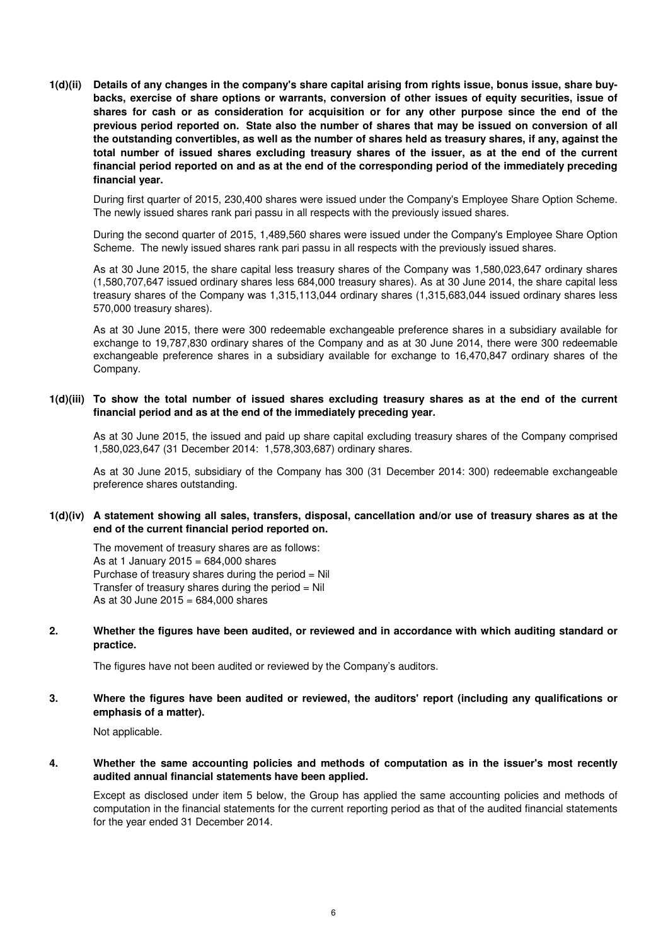**1(d)(ii) Details of any changes in the company's share capital arising from rights issue, bonus issue, share buybacks, exercise of share options or warrants, conversion of other issues of equity securities, issue of shares for cash or as consideration for acquisition or for any other purpose since the end of the previous period reported on. State also the number of shares that may be issued on conversion of all the outstanding convertibles, as well as the number of shares held as treasury shares, if any, against the total number of issued shares excluding treasury shares of the issuer, as at the end of the current financial period reported on and as at the end of the corresponding period of the immediately preceding financial year.**

During first quarter of 2015, 230,400 shares were issued under the Company's Employee Share Option Scheme. The newly issued shares rank pari passu in all respects with the previously issued shares.

During the second quarter of 2015, 1,489,560 shares were issued under the Company's Employee Share Option Scheme. The newly issued shares rank pari passu in all respects with the previously issued shares.

As at 30 June 2015, the share capital less treasury shares of the Company was 1,580,023,647 ordinary shares (1,580,707,647 issued ordinary shares less 684,000 treasury shares). As at 30 June 2014, the share capital less treasury shares of the Company was 1,315,113,044 ordinary shares (1,315,683,044 issued ordinary shares less 570,000 treasury shares).

As at 30 June 2015, there were 300 redeemable exchangeable preference shares in a subsidiary available for exchange to 19,787,830 ordinary shares of the Company and as at 30 June 2014, there were 300 redeemable exchangeable preference shares in a subsidiary available for exchange to 16,470,847 ordinary shares of the Company.

# **1(d)(iii) To show the total number of issued shares excluding treasury shares as at the end of the current financial period and as at the end of the immediately preceding year.**

As at 30 June 2015, the issued and paid up share capital excluding treasury shares of the Company comprised 1,580,023,647 (31 December 2014: 1,578,303,687) ordinary shares.

As at 30 June 2015, subsidiary of the Company has 300 (31 December 2014: 300) redeemable exchangeable preference shares outstanding.

### **1(d)(iv) A statement showing all sales, transfers, disposal, cancellation and/or use of treasury shares as at the end of the current financial period reported on.**

The movement of treasury shares are as follows: As at 1 January 2015 =  $684,000$  shares Purchase of treasury shares during the period  $=$  Nil Transfer of treasury shares during the period  $=$  Nil As at 30 June 2015 = 684,000 shares

**2. Whether the figures have been audited, or reviewed and in accordance with which auditing standard or practice.**

The figures have not been audited or reviewed by the Company's auditors.

#### **3. Where the figures have been audited or reviewed, the auditors' report (including any qualifications or emphasis of a matter).**

Not applicable.

#### **4. Whether the same accounting policies and methods of computation as in the issuer's most recently audited annual financial statements have been applied.**

Except as disclosed under item 5 below, the Group has applied the same accounting policies and methods of computation in the financial statements for the current reporting period as that of the audited financial statements for the year ended 31 December 2014.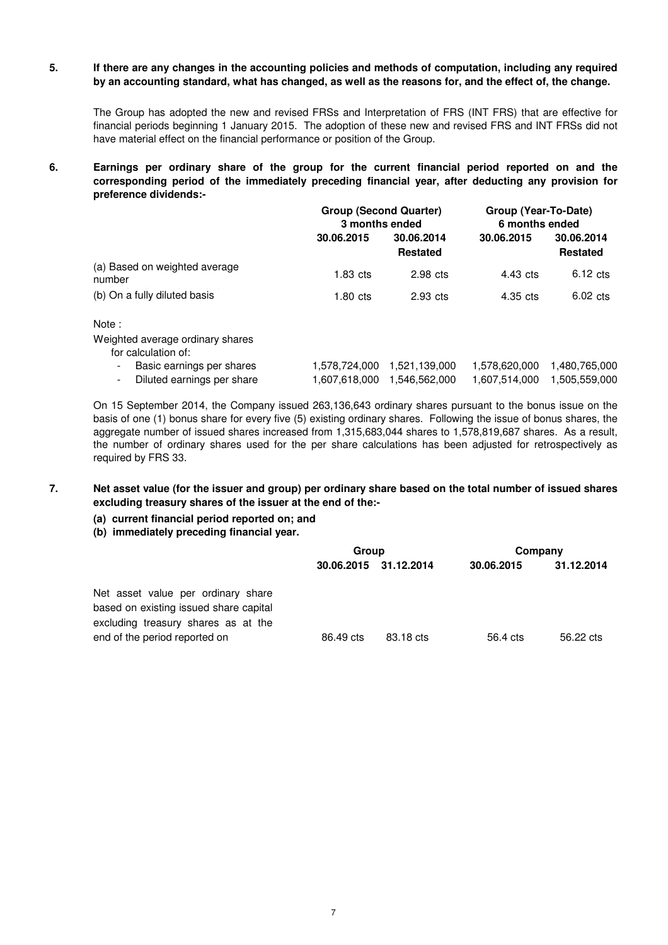#### **5. If there are any changes in the accounting policies and methods of computation, including any required by an accounting standard, what has changed, as well as the reasons for, and the effect of, the change.**

The Group has adopted the new and revised FRSs and Interpretation of FRS (INT FRS) that are effective for financial periods beginning 1 January 2015. The adoption of these new and revised FRS and INT FRSs did not have material effect on the financial performance or position of the Group.

#### **6. Earnings per ordinary share of the group for the current financial period reported on and the corresponding period of the immediately preceding financial year, after deducting any provision for preference dividends:-**

|                                         | <b>Group (Second Quarter)</b><br>3 months ended |                               | Group (Year-To-Date)<br>6 months ended |                               |
|-----------------------------------------|-------------------------------------------------|-------------------------------|----------------------------------------|-------------------------------|
|                                         | 30.06.2015                                      | 30.06.2014<br><b>Restated</b> | 30.06.2015                             | 30.06.2014<br><b>Restated</b> |
| (a) Based on weighted average<br>number | $1.83$ cts                                      | $2.98$ cts                    | 4.43 cts                               | $6.12 \text{ cts}$            |
| (b) On a fully diluted basis            | $1.80$ cts                                      | 2.93 cts                      | 4.35 cts                               | $6.02 \text{ cts}$            |
|                                         |                                                 |                               |                                        |                               |

# Note :

Weighted average ordinary shares

for calculation of:

| ivi valvulativii vi.         |  |                             |  |
|------------------------------|--|-----------------------------|--|
| - Basic earnings per shares  |  | 1,578,620,000 1,480,765,000 |  |
| - Diluted earnings per share |  |                             |  |

On 15 September 2014, the Company issued 263,136,643 ordinary shares pursuant to the bonus issue on the basis of one (1) bonus share for every five (5) existing ordinary shares. Following the issue of bonus shares, the aggregate number of issued shares increased from 1,315,683,044 shares to 1,578,819,687 shares. As a result, the number of ordinary shares used for the per share calculations has been adjusted for retrospectively as required by FRS 33.

#### **7. Net asset value (for the issuer and group) per ordinary share based on the total number of issued shares excluding treasury shares of the issuer at the end of the:-**

- **(a) current financial period reported on; and**
- **(b) immediately preceding financial year.**

|                                                                                                                     | Group     |                       | Company    |            |
|---------------------------------------------------------------------------------------------------------------------|-----------|-----------------------|------------|------------|
|                                                                                                                     |           | 30.06.2015 31.12.2014 | 30.06.2015 | 31.12.2014 |
| Net asset value per ordinary share<br>based on existing issued share capital<br>excluding treasury shares as at the |           |                       |            |            |
| end of the period reported on                                                                                       | 86.49 cts | 83.18 cts             | 56.4 cts   | 56.22 cts  |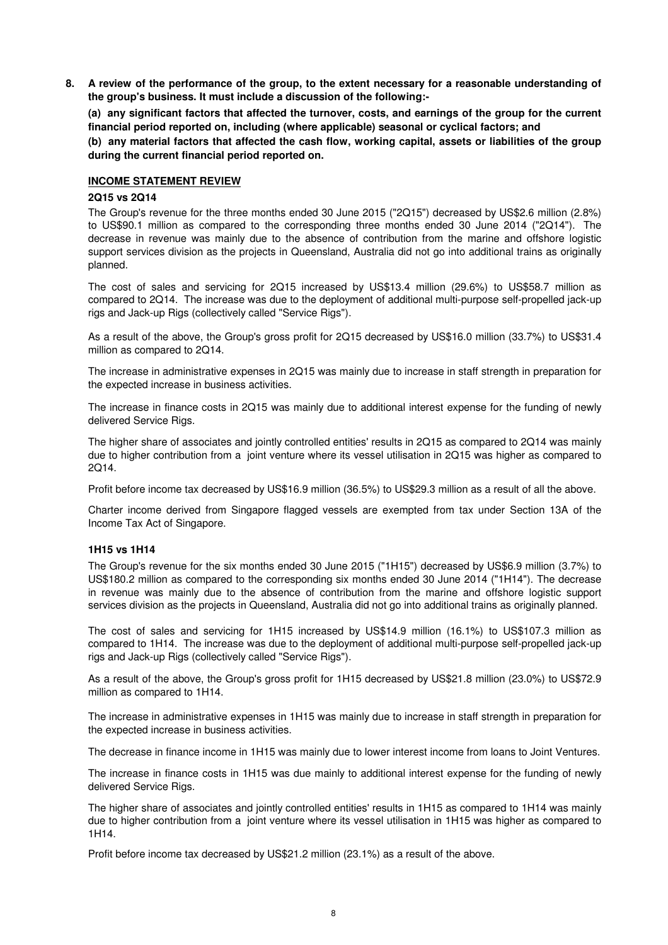**8. A review of the performance of the group, to the extent necessary for a reasonable understanding of the group's business. It must include a discussion of the following:-** 

**(a) any significant factors that affected the turnover, costs, and earnings of the group for the current financial period reported on, including (where applicable) seasonal or cyclical factors; and**

**(b) any material factors that affected the cash flow, working capital, assets or liabilities of the group during the current financial period reported on.**

### **INCOME STATEMENT REVIEW**

### **2Q15 vs 2Q14**

The Group's revenue for the three months ended 30 June 2015 ("2Q15") decreased by US\$2.6 million (2.8%) to US\$90.1 million as compared to the corresponding three months ended 30 June 2014 ("2Q14"). The decrease in revenue was mainly due to the absence of contribution from the marine and offshore logistic support services division as the projects in Queensland, Australia did not go into additional trains as originally planned.

The cost of sales and servicing for 2Q15 increased by US\$13.4 million (29.6%) to US\$58.7 million as compared to 2Q14. The increase was due to the deployment of additional multi-purpose self-propelled jack-up rigs and Jack-up Rigs (collectively called "Service Rigs").

As a result of the above, the Group's gross profit for 2Q15 decreased by US\$16.0 million (33.7%) to US\$31.4 million as compared to 2Q14.

The increase in administrative expenses in 2Q15 was mainly due to increase in staff strength in preparation for the expected increase in business activities.

The increase in finance costs in 2Q15 was mainly due to additional interest expense for the funding of newly delivered Service Rigs.

The higher share of associates and jointly controlled entities' results in 2Q15 as compared to 2Q14 was mainly due to higher contribution from a joint venture where its vessel utilisation in 2Q15 was higher as compared to 2Q14.

Profit before income tax decreased by US\$16.9 million (36.5%) to US\$29.3 million as a result of all the above.

Charter income derived from Singapore flagged vessels are exempted from tax under Section 13A of the Income Tax Act of Singapore.

#### **1H15 vs 1H14**

The Group's revenue for the six months ended 30 June 2015 ("1H15") decreased by US\$6.9 million (3.7%) to US\$180.2 million as compared to the corresponding six months ended 30 June 2014 ("1H14"). The decrease in revenue was mainly due to the absence of contribution from the marine and offshore logistic support services division as the projects in Queensland, Australia did not go into additional trains as originally planned.

The cost of sales and servicing for 1H15 increased by US\$14.9 million (16.1%) to US\$107.3 million as compared to 1H14. The increase was due to the deployment of additional multi-purpose self-propelled jack-up rigs and Jack-up Rigs (collectively called "Service Rigs").

As a result of the above, the Group's gross profit for 1H15 decreased by US\$21.8 million (23.0%) to US\$72.9 million as compared to 1H14.

The increase in administrative expenses in 1H15 was mainly due to increase in staff strength in preparation for the expected increase in business activities.

The decrease in finance income in 1H15 was mainly due to lower interest income from loans to Joint Ventures.

The increase in finance costs in 1H15 was due mainly to additional interest expense for the funding of newly delivered Service Rigs.

The higher share of associates and jointly controlled entities' results in 1H15 as compared to 1H14 was mainly due to higher contribution from a joint venture where its vessel utilisation in 1H15 was higher as compared to 1H14.

Profit before income tax decreased by US\$21.2 million (23.1%) as a result of the above.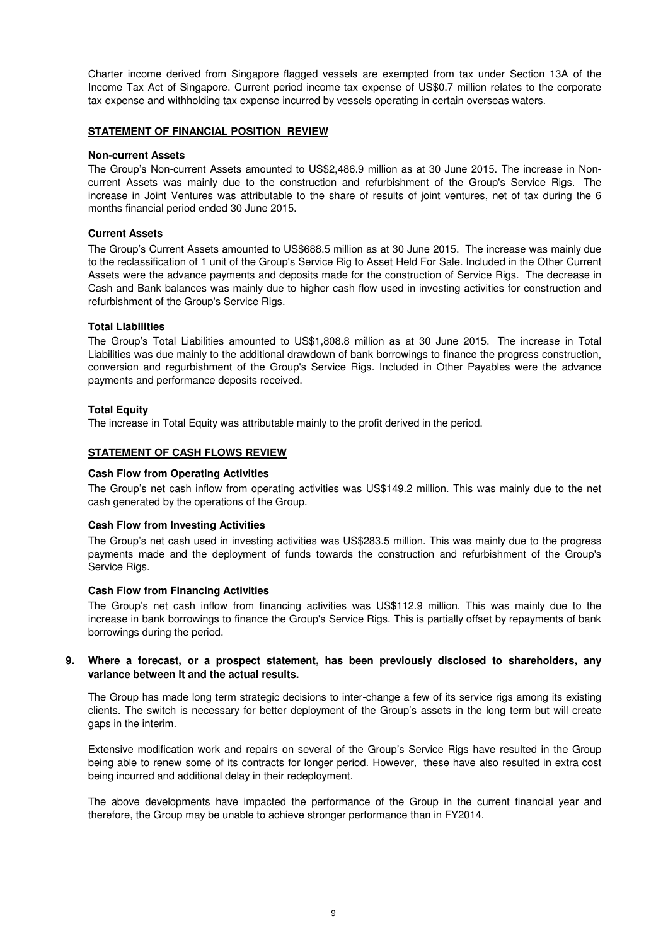Charter income derived from Singapore flagged vessels are exempted from tax under Section 13A of the Income Tax Act of Singapore. Current period income tax expense of US\$0.7 million relates to the corporate tax expense and withholding tax expense incurred by vessels operating in certain overseas waters.

## **STATEMENT OF FINANCIAL POSITION REVIEW**

### **Non-current Assets**

The Group's Non-current Assets amounted to US\$2,486.9 million as at 30 June 2015. The increase in Noncurrent Assets was mainly due to the construction and refurbishment of the Group's Service Rigs. The increase in Joint Ventures was attributable to the share of results of joint ventures, net of tax during the 6 months financial period ended 30 June 2015.

# **Current Assets**

The Group's Current Assets amounted to US\$688.5 million as at 30 June 2015. The increase was mainly due to the reclassification of 1 unit of the Group's Service Rig to Asset Held For Sale. Included in the Other Current Assets were the advance payments and deposits made for the construction of Service Rigs. The decrease in Cash and Bank balances was mainly due to higher cash flow used in investing activities for construction and refurbishment of the Group's Service Rigs.

# **Total Liabilities**

The Group's Total Liabilities amounted to US\$1,808.8 million as at 30 June 2015. The increase in Total Liabilities was due mainly to the additional drawdown of bank borrowings to finance the progress construction, conversion and regurbishment of the Group's Service Rigs. Included in Other Payables were the advance payments and performance deposits received.

# **Total Equity**

The increase in Total Equity was attributable mainly to the profit derived in the period.

# **STATEMENT OF CASH FLOWS REVIEW**

### **Cash Flow from Operating Activities**

The Group's net cash inflow from operating activities was US\$149.2 million. This was mainly due to the net cash generated by the operations of the Group.

#### **Cash Flow from Investing Activities**

The Group's net cash used in investing activities was US\$283.5 million. This was mainly due to the progress payments made and the deployment of funds towards the construction and refurbishment of the Group's Service Rias.

#### **Cash Flow from Financing Activities**

The Group's net cash inflow from financing activities was US\$112.9 million. This was mainly due to the increase in bank borrowings to finance the Group's Service Rigs. This is partially offset by repayments of bank borrowings during the period.

#### **9. Where a forecast, or a prospect statement, has been previously disclosed to shareholders, any variance between it and the actual results.**

The Group has made long term strategic decisions to inter-change a few of its service rigs among its existing clients. The switch is necessary for better deployment of the Group's assets in the long term but will create gaps in the interim.

Extensive modification work and repairs on several of the Group's Service Rigs have resulted in the Group being able to renew some of its contracts for longer period. However, these have also resulted in extra cost being incurred and additional delay in their redeployment.

The above developments have impacted the performance of the Group in the current financial year and therefore, the Group may be unable to achieve stronger performance than in FY2014.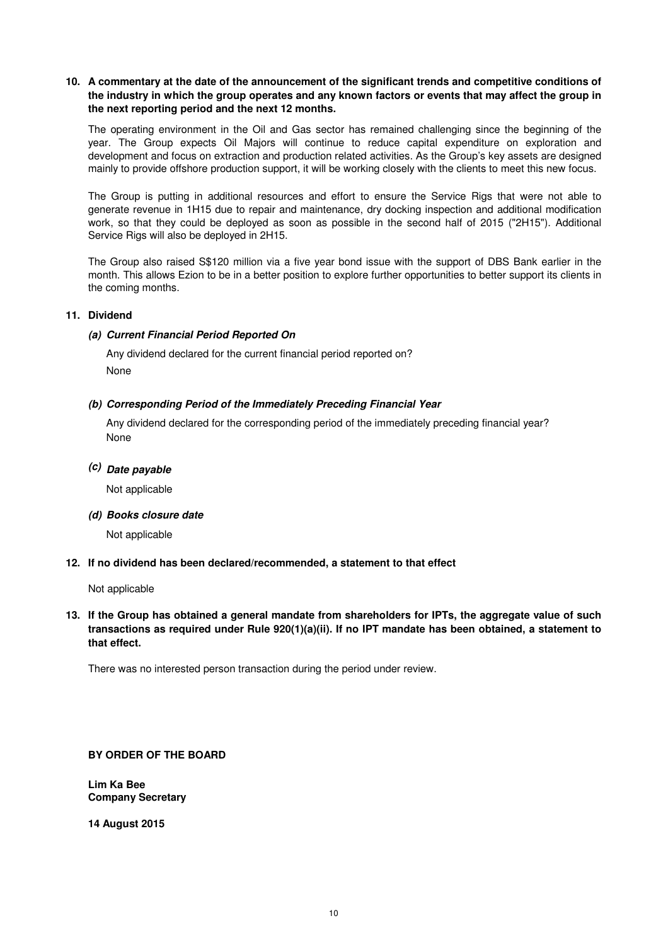# **10. A commentary at the date of the announcement of the significant trends and competitive conditions of the industry in which the group operates and any known factors or events that may affect the group in the next reporting period and the next 12 months.**

The operating environment in the Oil and Gas sector has remained challenging since the beginning of the year. The Group expects Oil Majors will continue to reduce capital expenditure on exploration and development and focus on extraction and production related activities. As the Group's key assets are designed mainly to provide offshore production support, it will be working closely with the clients to meet this new focus.

The Group is putting in additional resources and effort to ensure the Service Rigs that were not able to generate revenue in 1H15 due to repair and maintenance, dry docking inspection and additional modification work, so that they could be deployed as soon as possible in the second half of 2015 ("2H15"). Additional Service Rigs will also be deployed in 2H15.

The Group also raised S\$120 million via a five year bond issue with the support of DBS Bank earlier in the month. This allows Ezion to be in a better position to explore further opportunities to better support its clients in the coming months.

# **11. Dividend**

# **(a) Current Financial Period Reported On**

Any dividend declared for the current financial period reported on? None

# **(b) Corresponding Period of the Immediately Preceding Financial Year**

None Any dividend declared for the corresponding period of the immediately preceding financial year?

# **(c) Date payable**

Not applicable

**(d) Books closure date**

Not applicable

#### **12. If no dividend has been declared/recommended, a statement to that effect**

Not applicable

# **13. If the Group has obtained a general mandate from shareholders for IPTs, the aggregate value of such transactions as required under Rule 920(1)(a)(ii). If no IPT mandate has been obtained, a statement to that effect.**

There was no interested person transaction during the period under review.

# **BY ORDER OF THE BOARD**

**Lim Ka Bee Company Secretary**

**14 August 2015**